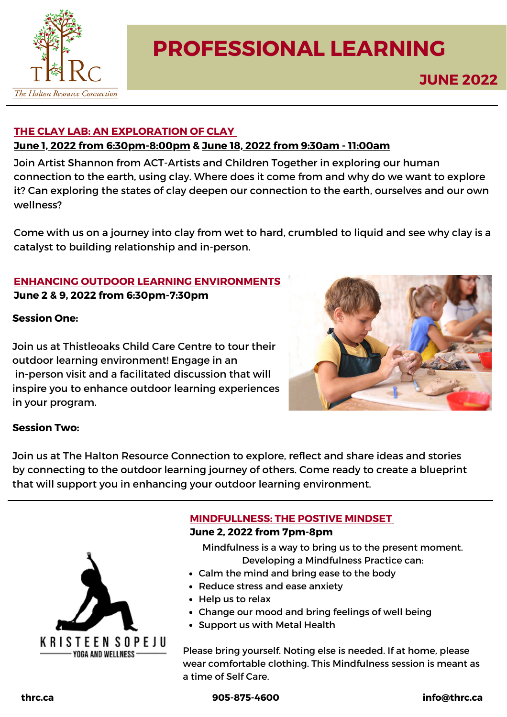

# **PROFESSIONAL LEARNING**

## **THE CLAY LAB: AN EXPLORATION OF CLAY**

### **June 1, 2022 from [6:30pm-8:00pm](https://thrc.ca/events/the-clay-lab-an-exploration-of-clay-3/) & June 18, 2022 from 9:30am - [11:00am](https://thrc.ca/events/the-clay-lab-an-exploration-of-clay-4/)**

Join Artist Shannon from ACT-Artists and Children Together in exploring our human connection to the earth, using clay. Where does it come from and why do we want to explore it? Can exploring the states of clay deepen our connection to the earth, ourselves and our own wellness?

Come with us on a journey into clay from wet to hard, crumbled to liquid and see why clay is a catalyst to building relationship and in-person.

## **ENHANCING OUTDOOR LEARNING [ENVIRONMENTS](https://thrc.ca/events/enhancing-outdoor-learning-environments/)**

**June 2 & 9, 2022 from 6:30pm-7:30pm**

#### **Session One:**

Join us at Thistleoaks Child Care Centre to tour their outdoor learning environment! Engage in an in-person visit and a facilitated discussion that will inspire you to enhance outdoor learning experiences in your program.



#### **Session Two:**

Join us at The Halton Resource Connection to explore, reflect and share ideas and stories by connecting to the outdoor learning journey of others. Come ready to create a blueprint that will support you in enhancing your outdoor learning environment.



# **[MINDFULLNESS:](https://thrc.ca/events/mindfulness-the-positive-mindset/) THE POSTIVE MINDSE[T](https://thrc.ca/events/mindfulness-the-positive-mindset/)**

#### **June 2, 2022 from 7pm-8pm**

Mindfulness is a way to bring us to the present moment. Developing a Mindfulness Practice can:

- Calm the mind and bring ease to the body
- Reduce stress and ease anxiety
- Help us to relax
- Change our mood and bring feelings of well being
- Support us with Metal Health

Please bring yourself. Noting else is needed. If at home, please wear comfortable clothing. This Mindfulness session is meant as a time of Self Care.

**thrc.ca 905-875-4600 info@thrc.ca**